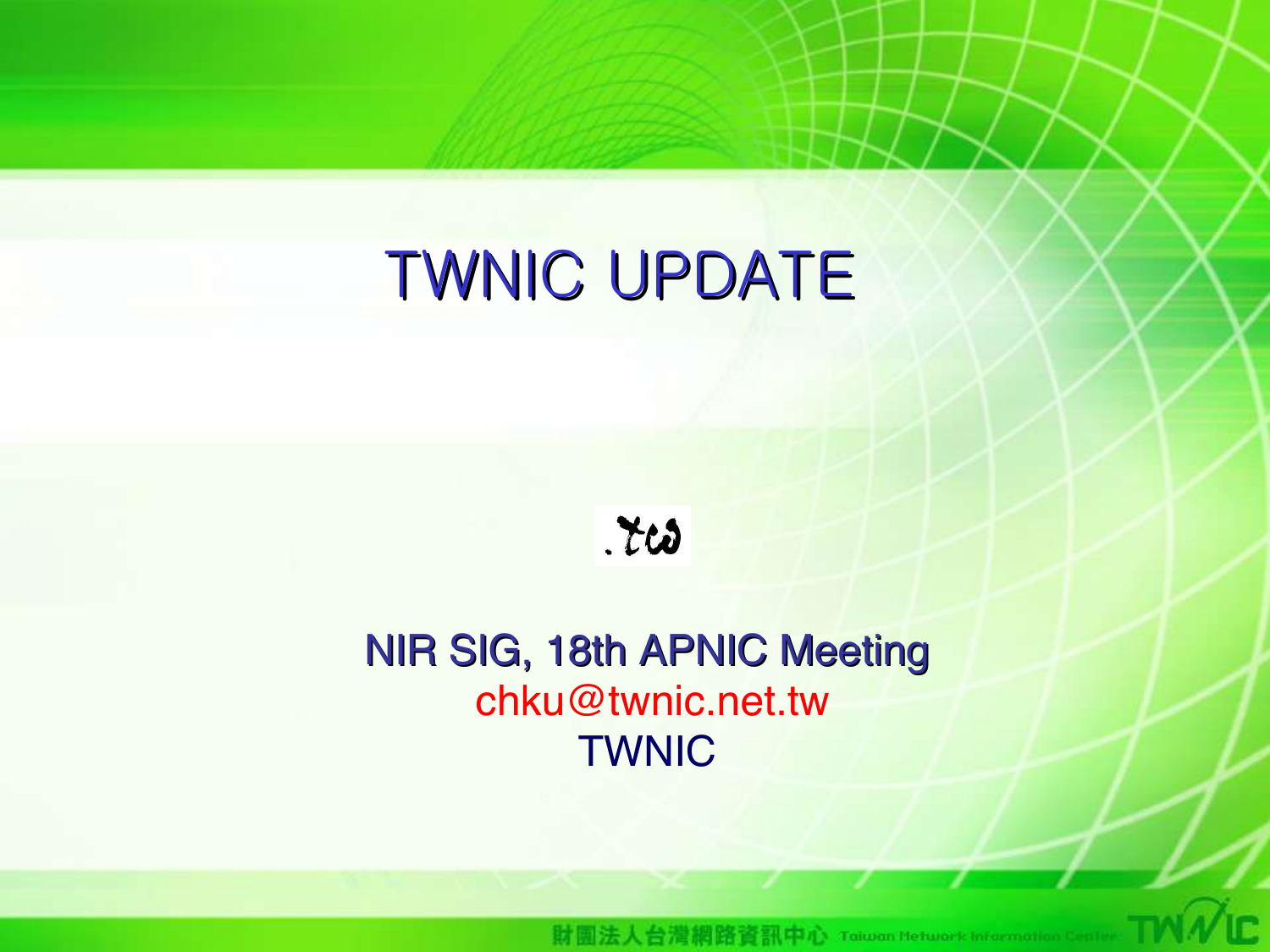## TWNIC UPDATE

 $.703$ 

#### NIR SIG, 18th APNIC Meeting chku@twnic.net.tw TWNIC

08/31/04 12:00 12:00 12:00 12:00 12:00 12:00 12:00 12:00 12:00 12:00 12:00 12:00 12:00 12:00 12:00 12:00 12:00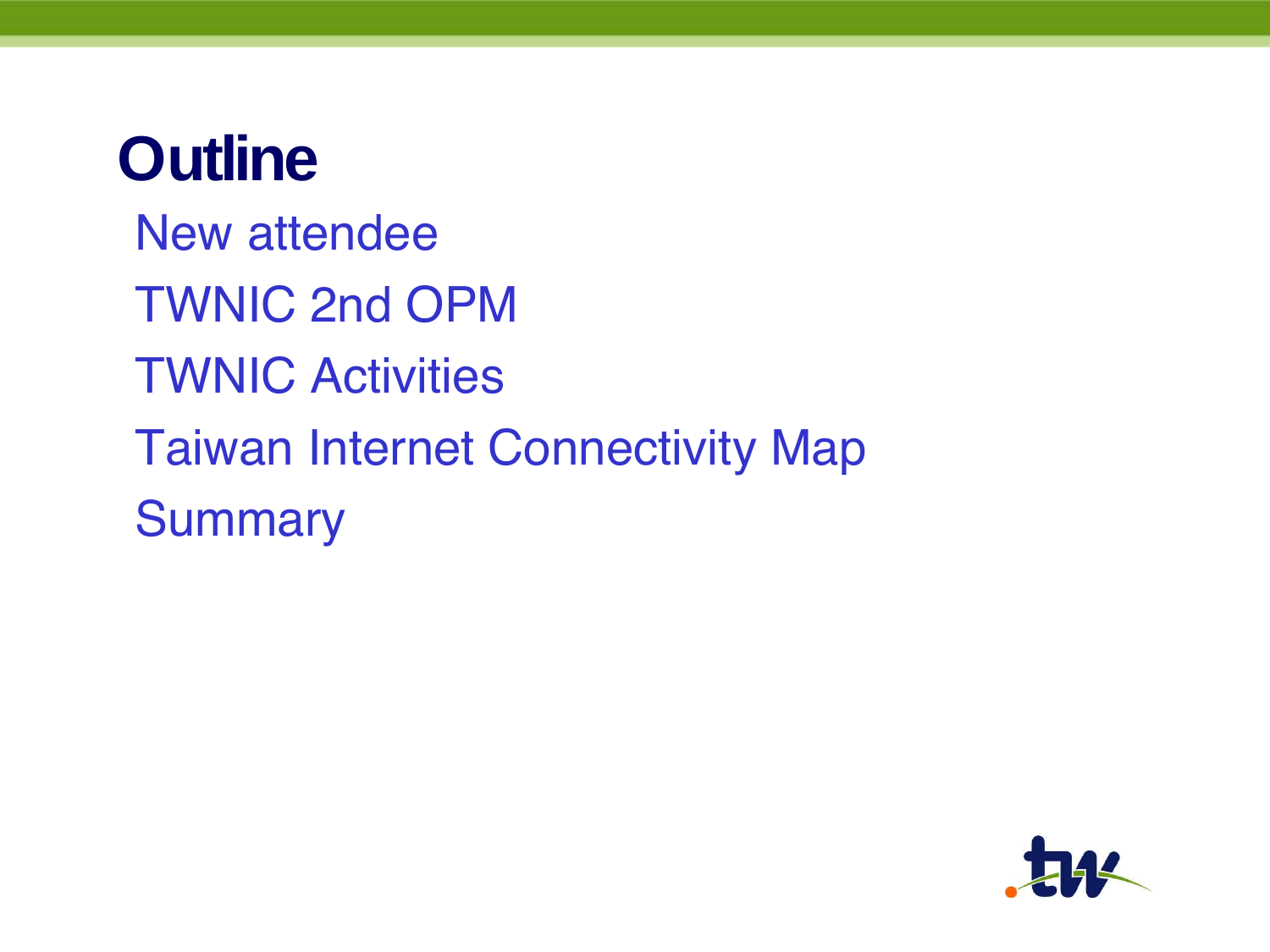## **Outline**

New attendee TWNIC 2nd OPM TWNIC Activities Taiwan Internet Connectivity Map **Summary** 

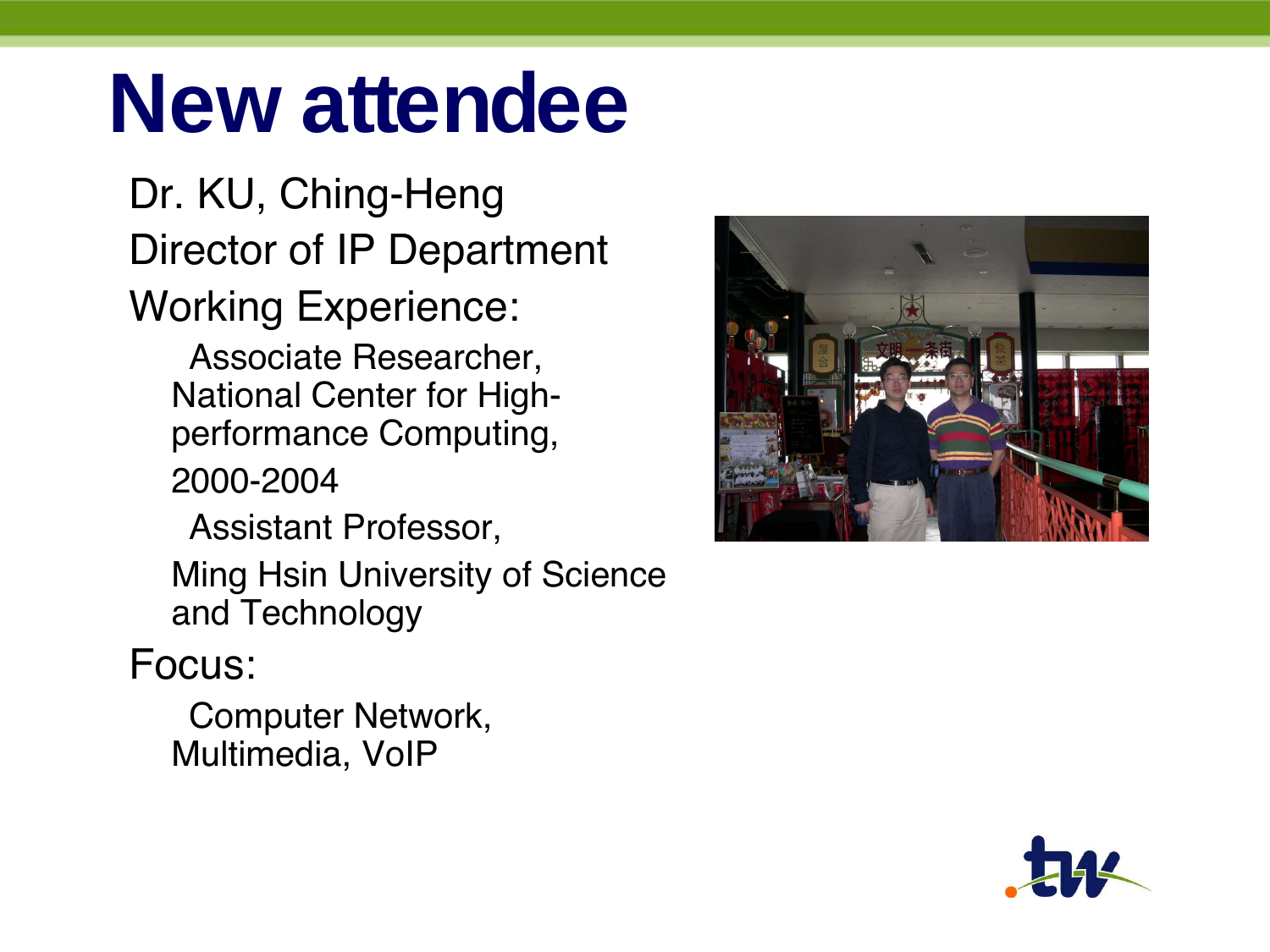## **New attendee**

Dr. KU, Ching-Heng Director of IP Department

Working Experience:

Associate Researcher, National Center for Highperformance Computing,

2000-2004

Assistant Professor,

Ming Hsin University of Science and Technology

#### Focus:

Computer Network, Multimedia, VoIP



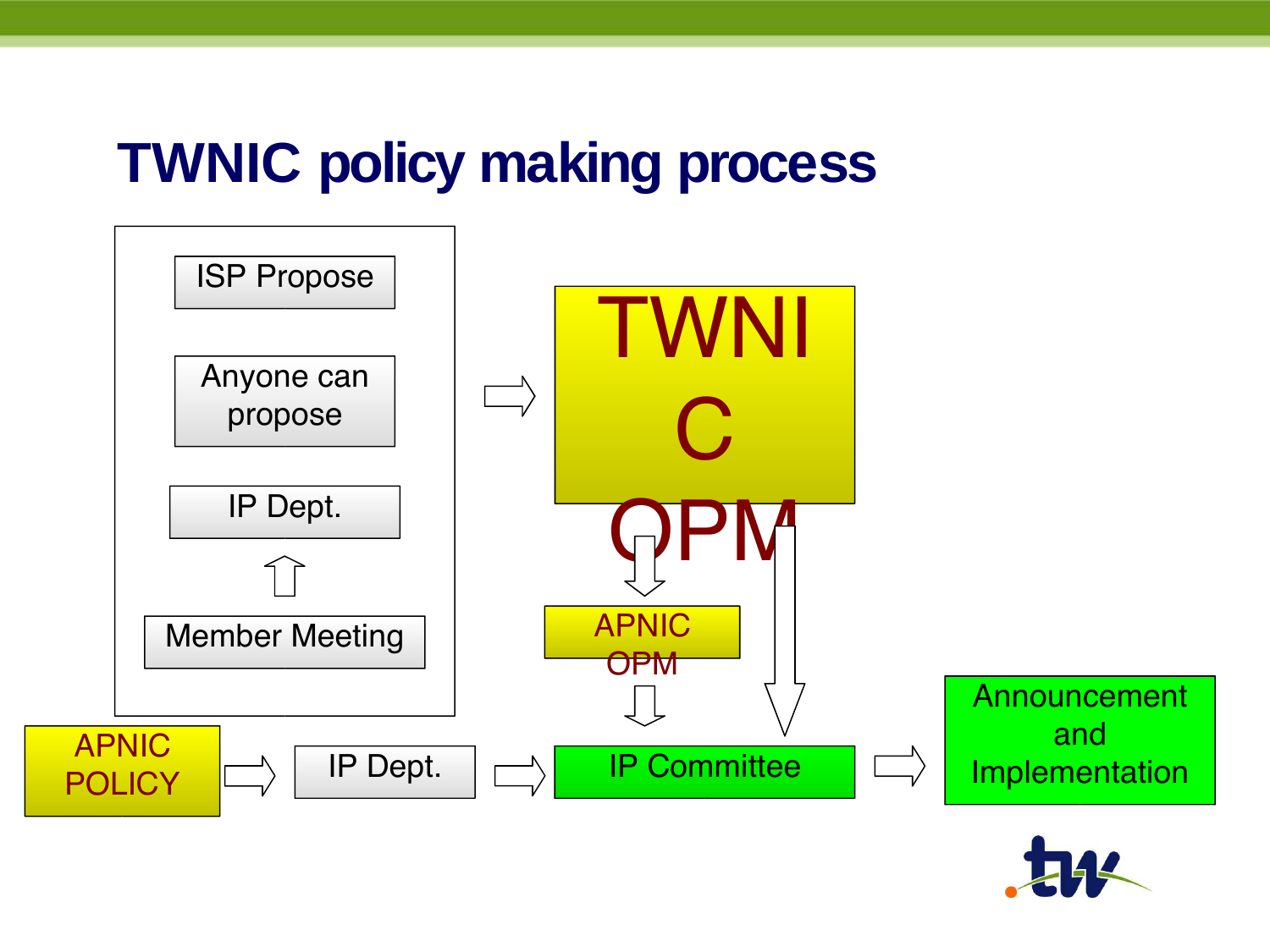#### **TWNIC policy making process**



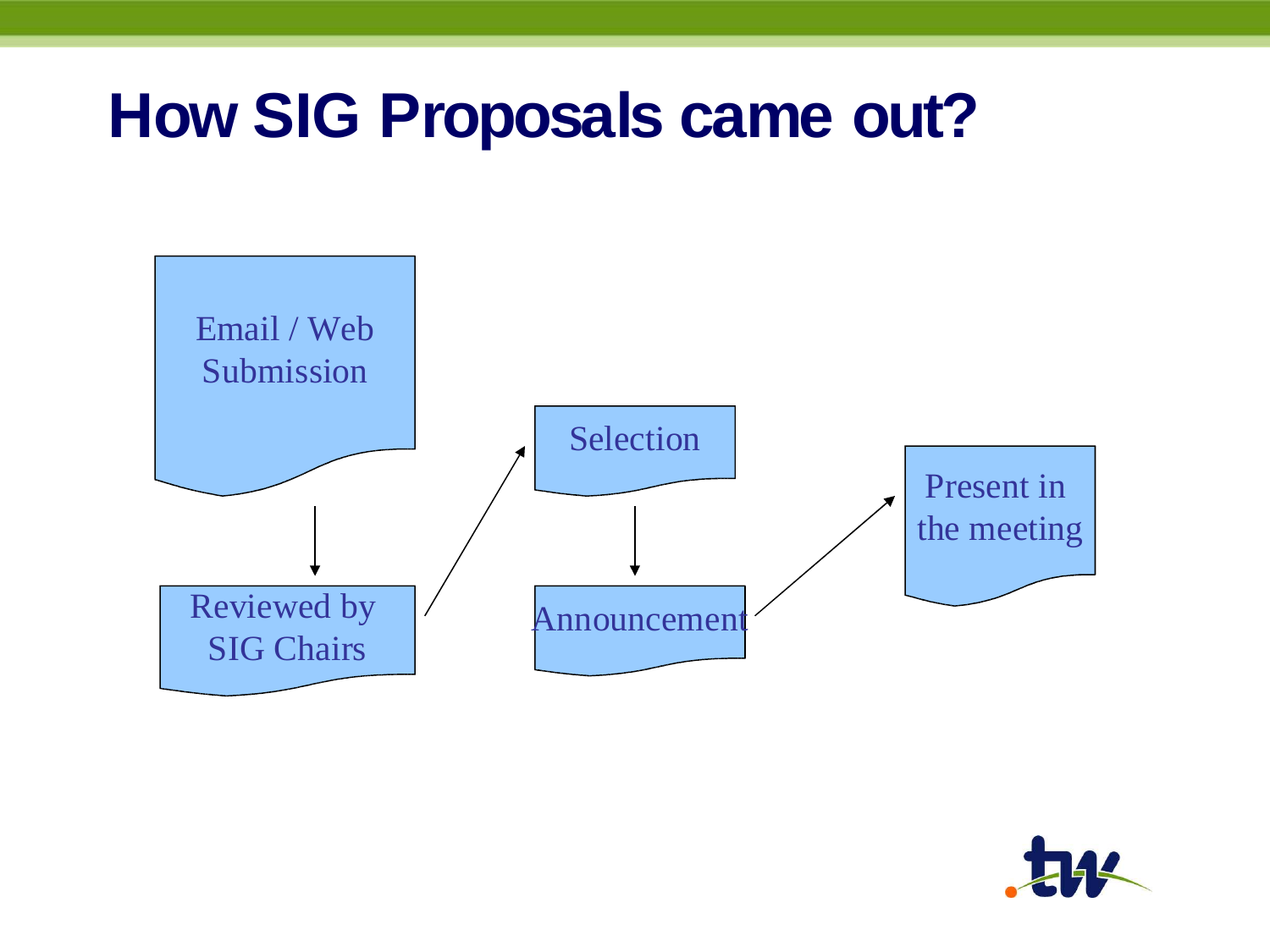### **How SIG Proposals came out?**



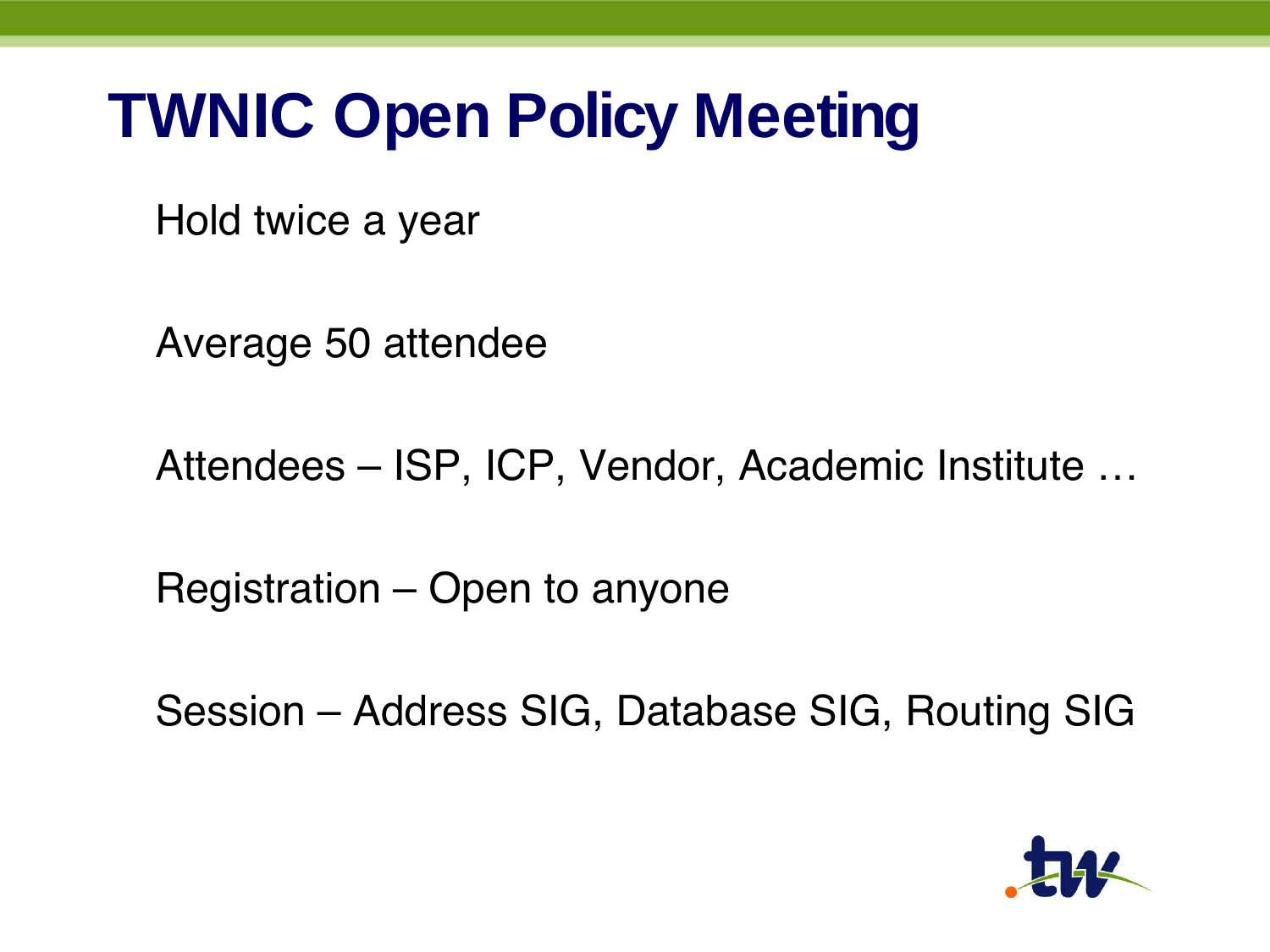## **TWNIC Open Policy Meeting**

Hold twice a year

Average 50 attendee

Attendees – ISP, ICP, Vendor, Academic Institute …

Registration – Open to anyone

Session – Address SIG, Database SIG, Routing SIG

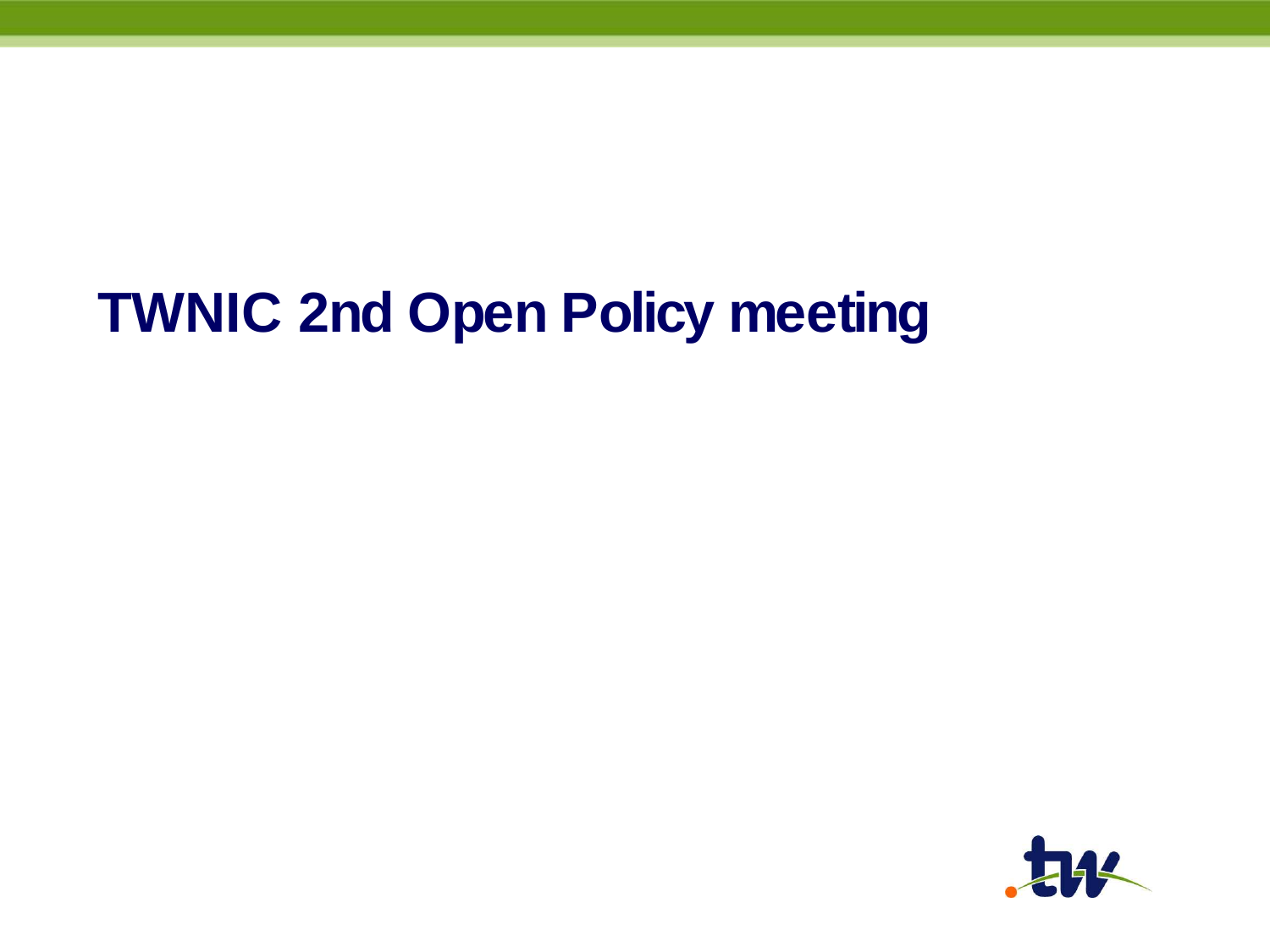### **TWNIC 2nd Open Policy meeting**

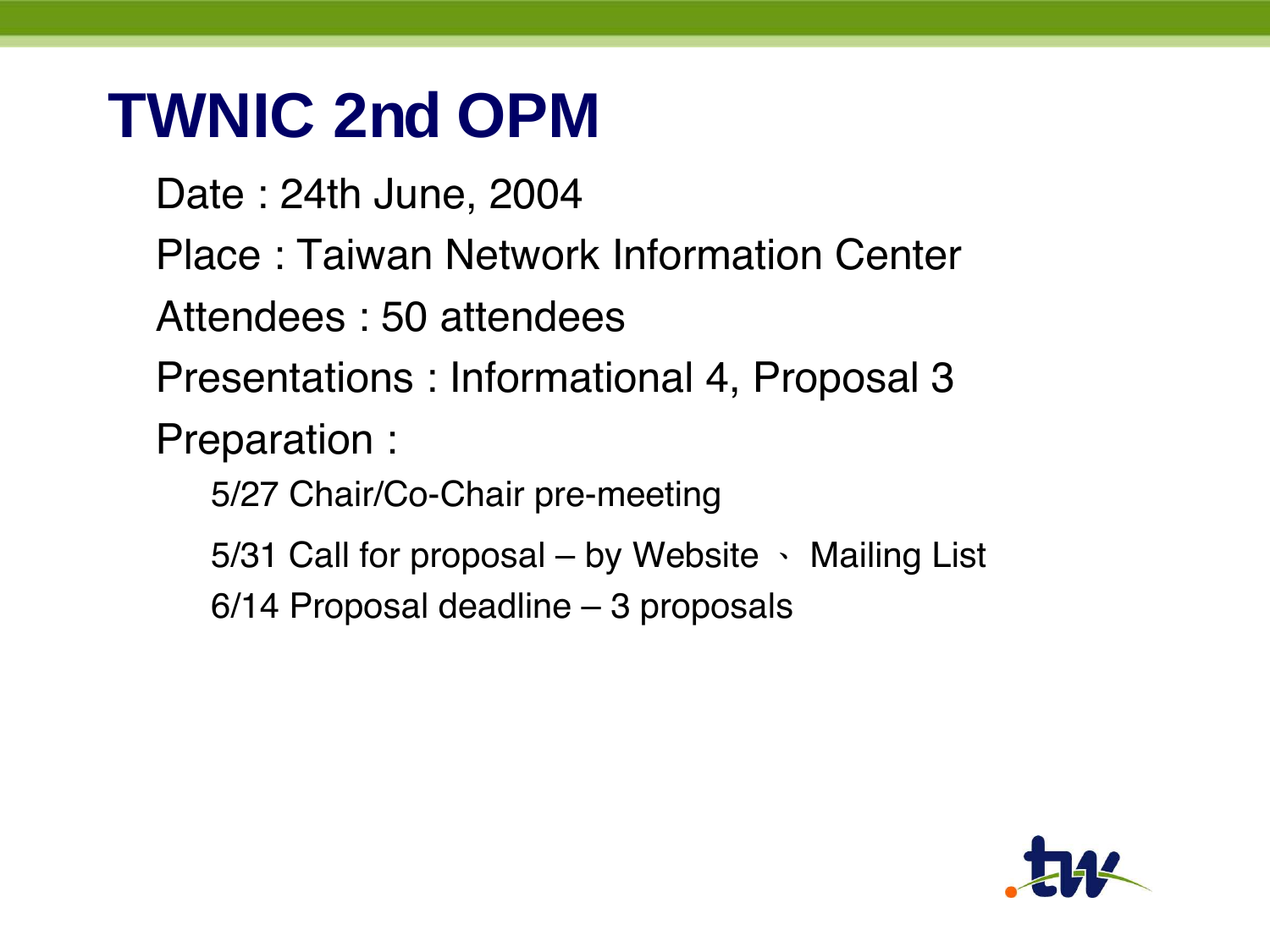## **TWNIC 2nd OPM**

Date : 24th June, 2004 Place : Taiwan Network Information Center Attendees : 50 attendees Presentations : Informational 4, Proposal 3 Preparation : 5/27 Chair/Co-Chair pre-meeting 5/31 Call for proposal – by Website 、 Mailing List 6/14 Proposal deadline – 3 proposals

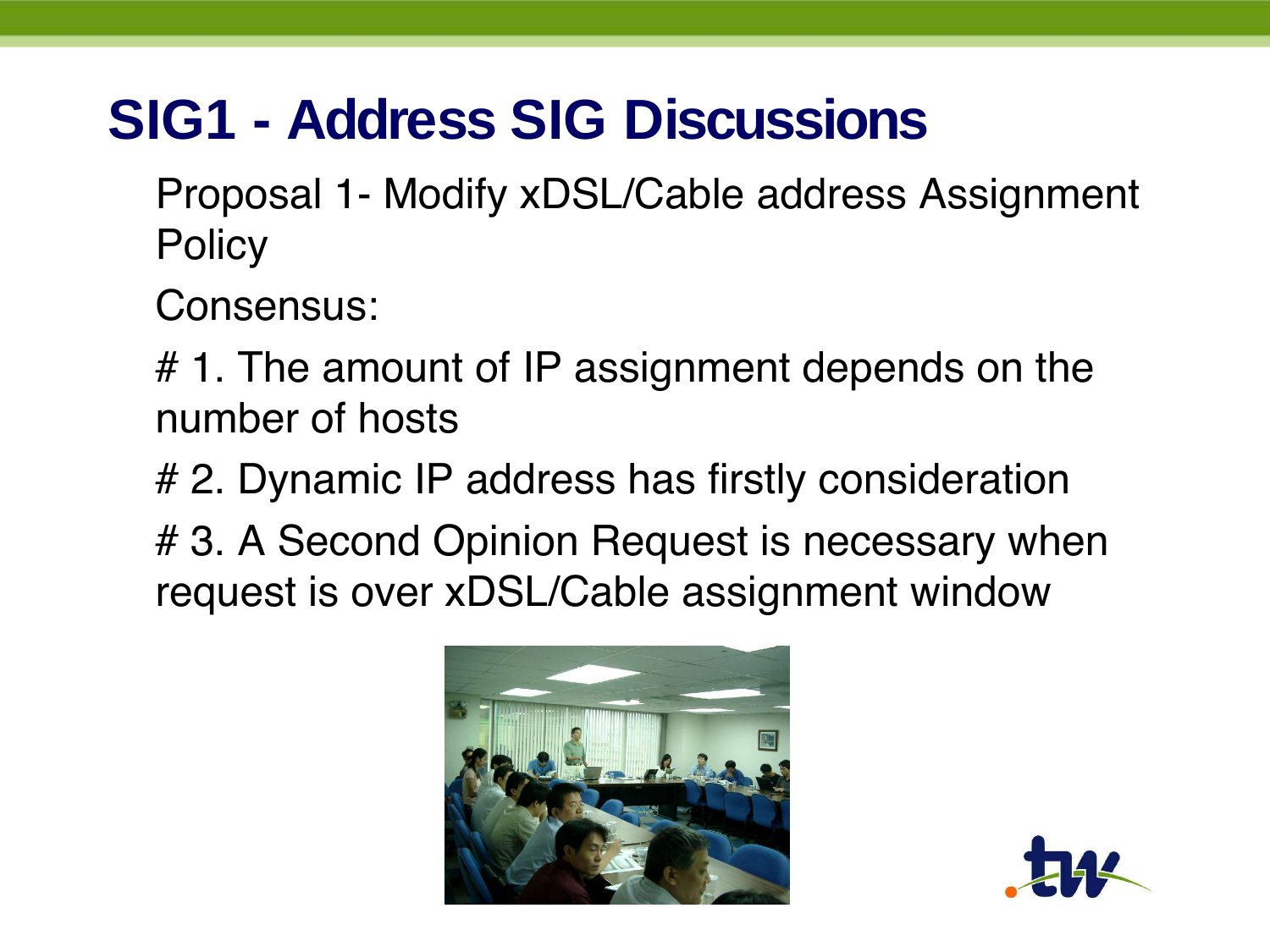#### **SIG1 - Address SIG Discussions**

Proposal 1- Modify xDSL/Cable address Assignment **Policy** 

Consensus:

# 1. The amount of IP assignment depends on the number of hosts

# 2. Dynamic IP address has firstly consideration

# 3. A Second Opinion Request is necessary when request is over xDSL/Cable assignment window



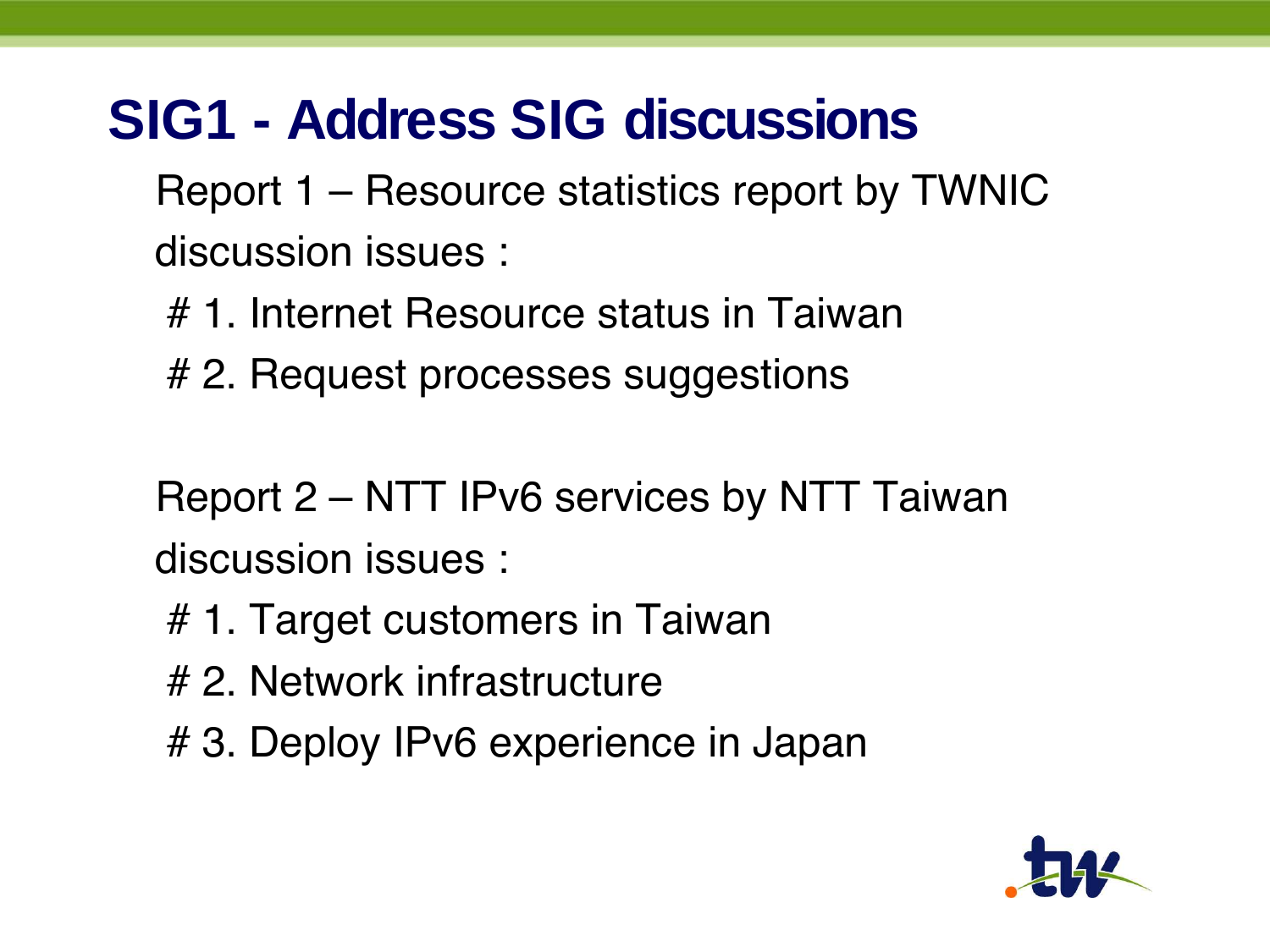#### **SIG1 - Address SIG discussions**

Report 1 – Resource statistics report by TWNIC discussion issues :

# 1. Internet Resource status in Taiwan

# 2. Request processes suggestions

Report 2 – NTT IPv6 services by NTT Taiwan discussion issues :

- # 1. Target customers in Taiwan
- # 2. Network infrastructure
- # 3. Deploy IPv6 experience in Japan

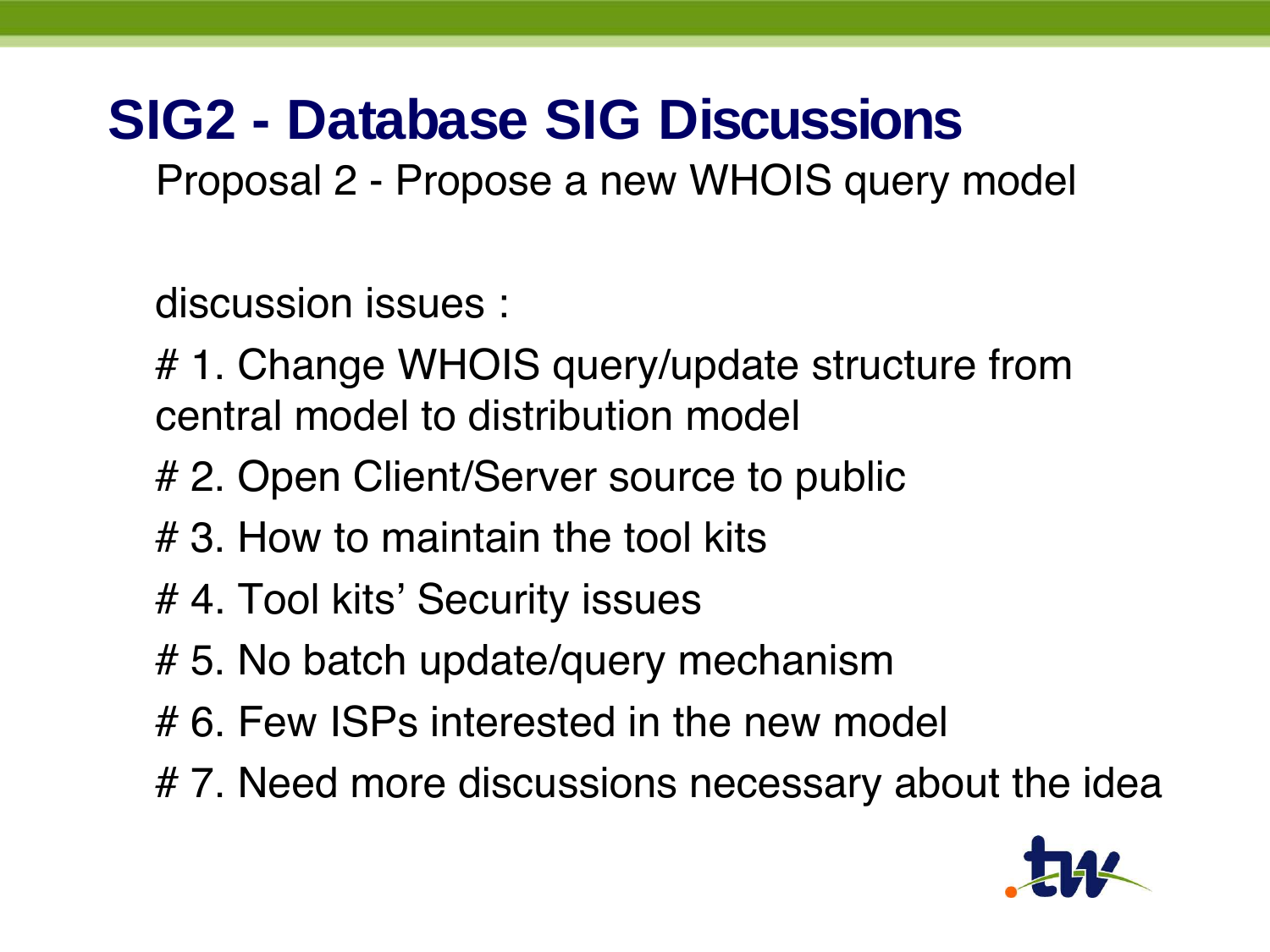#### **SIG2 - Database SIG Discussions**

Proposal 2 - Propose a new WHOIS query model

discussion issues :

# 1. Change WHOIS query/update structure from central model to distribution model

- # 2. Open Client/Server source to public
- # 3. How to maintain the tool kits
- # 4. Tool kits' Security issues
- # 5. No batch update/query mechanism
- # 6. Few ISPs interested in the new model
- #7. Need more discussions necessary about the idea

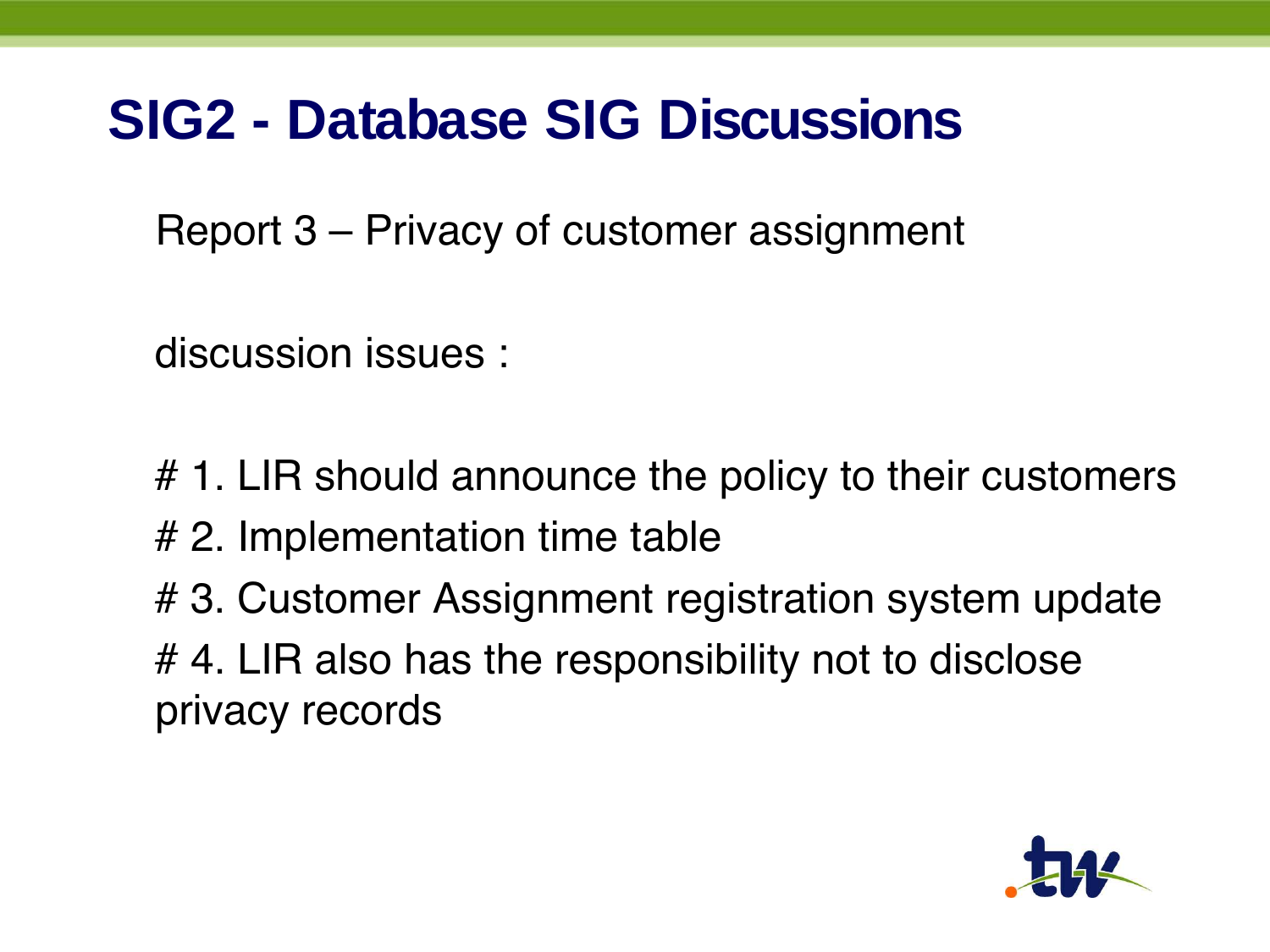#### **SIG2 - Database SIG Discussions**

Report 3 – Privacy of customer assignment

discussion issues :

- # 1. LIR should announce the policy to their customers
- # 2. Implementation time table
- # 3. Customer Assignment registration system update # 4. LIR also has the responsibility not to disclose privacy records

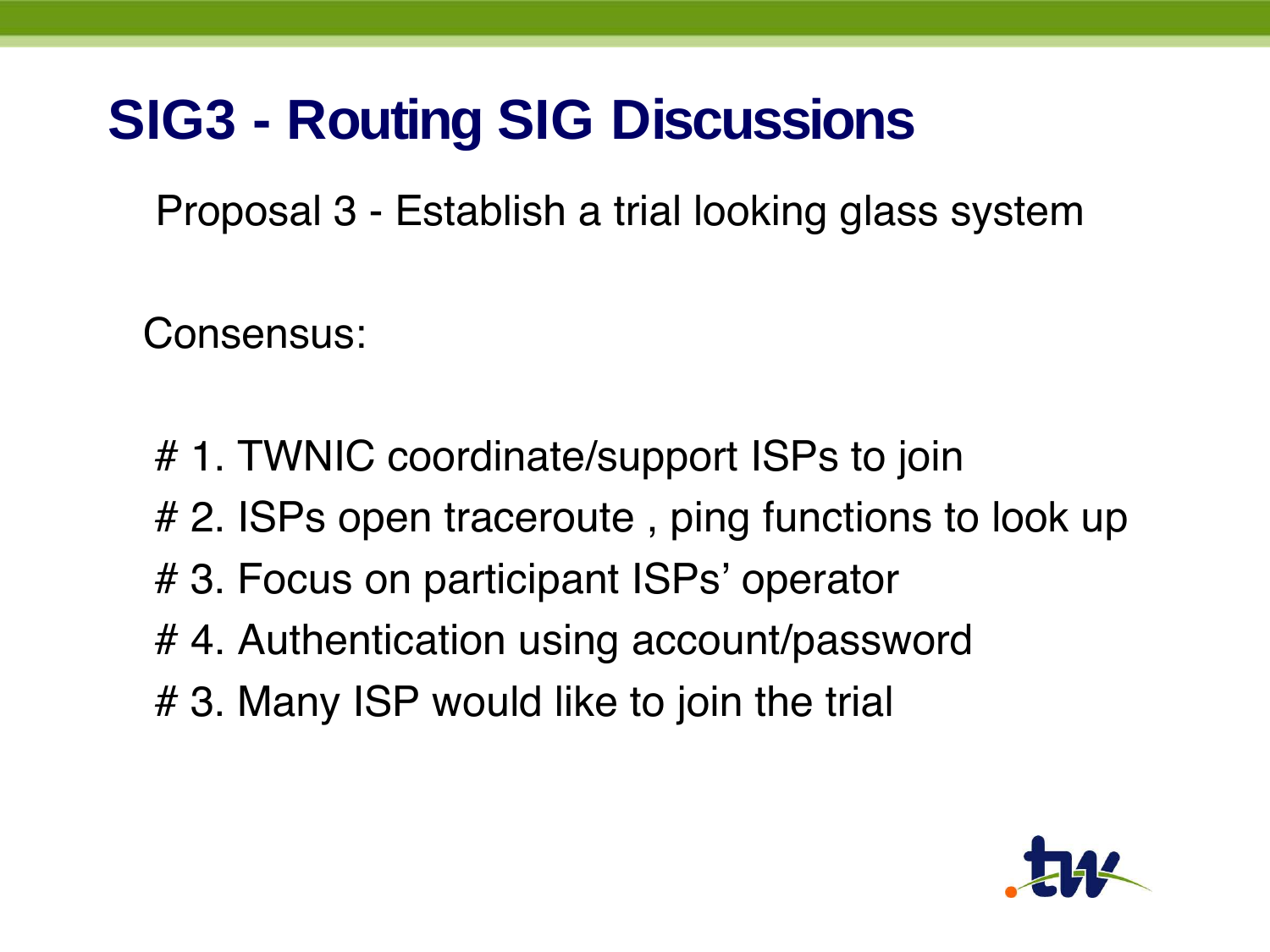#### **SIG3 - Routing SIG Discussions**

Proposal 3 - Establish a trial looking glass system

Consensus:

- # 1. TWNIC coordinate/support ISPs to join
- # 2. ISPs open traceroute, ping functions to look up
- # 3. Focus on participant ISPs' operator
- # 4. Authentication using account/password
- # 3. Many ISP would like to join the trial

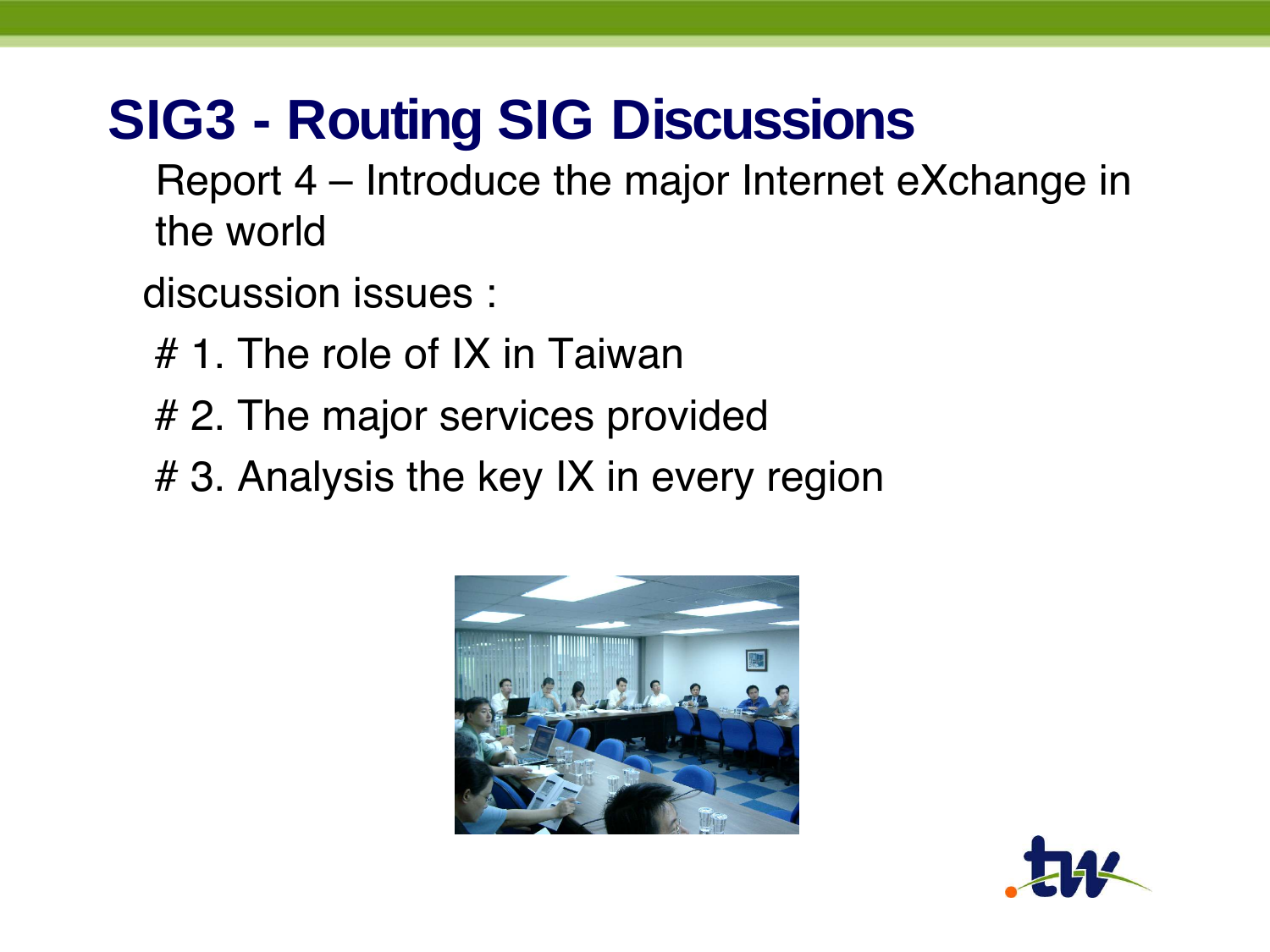#### **SIG3 - Routing SIG Discussions**

Report 4 – Introduce the major Internet eXchange in the world

discussion issues :

- # 1. The role of IX in Taiwan
- # 2. The major services provided
- # 3. Analysis the key IX in every region



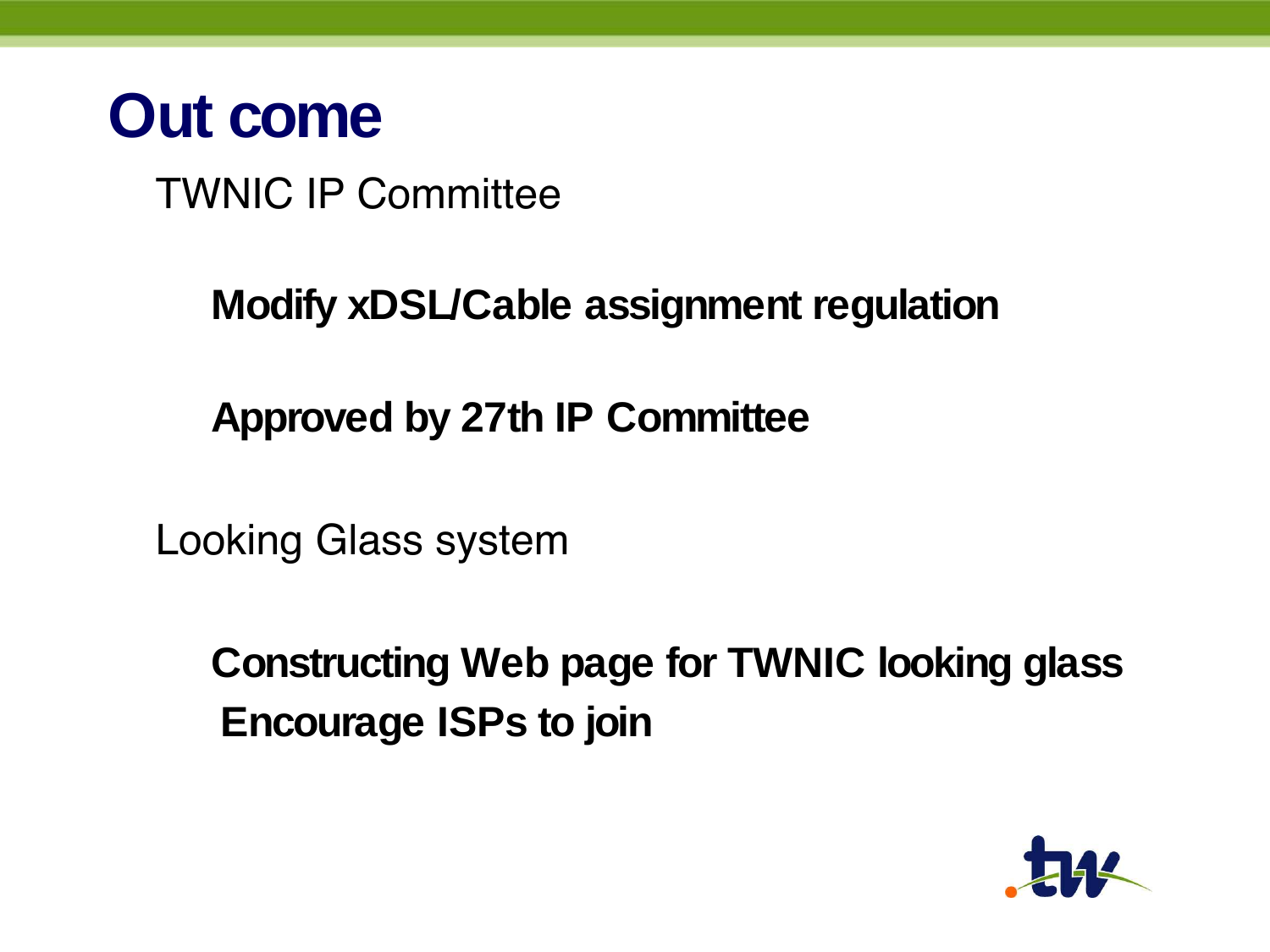

TWNIC IP Committee

**Modify xDSL/Cable assignment regulation**

**Approved by 27th IP Committee**

Looking Glass system

**Constructing Web page for TWNIC looking glass Encourage ISPs to join**

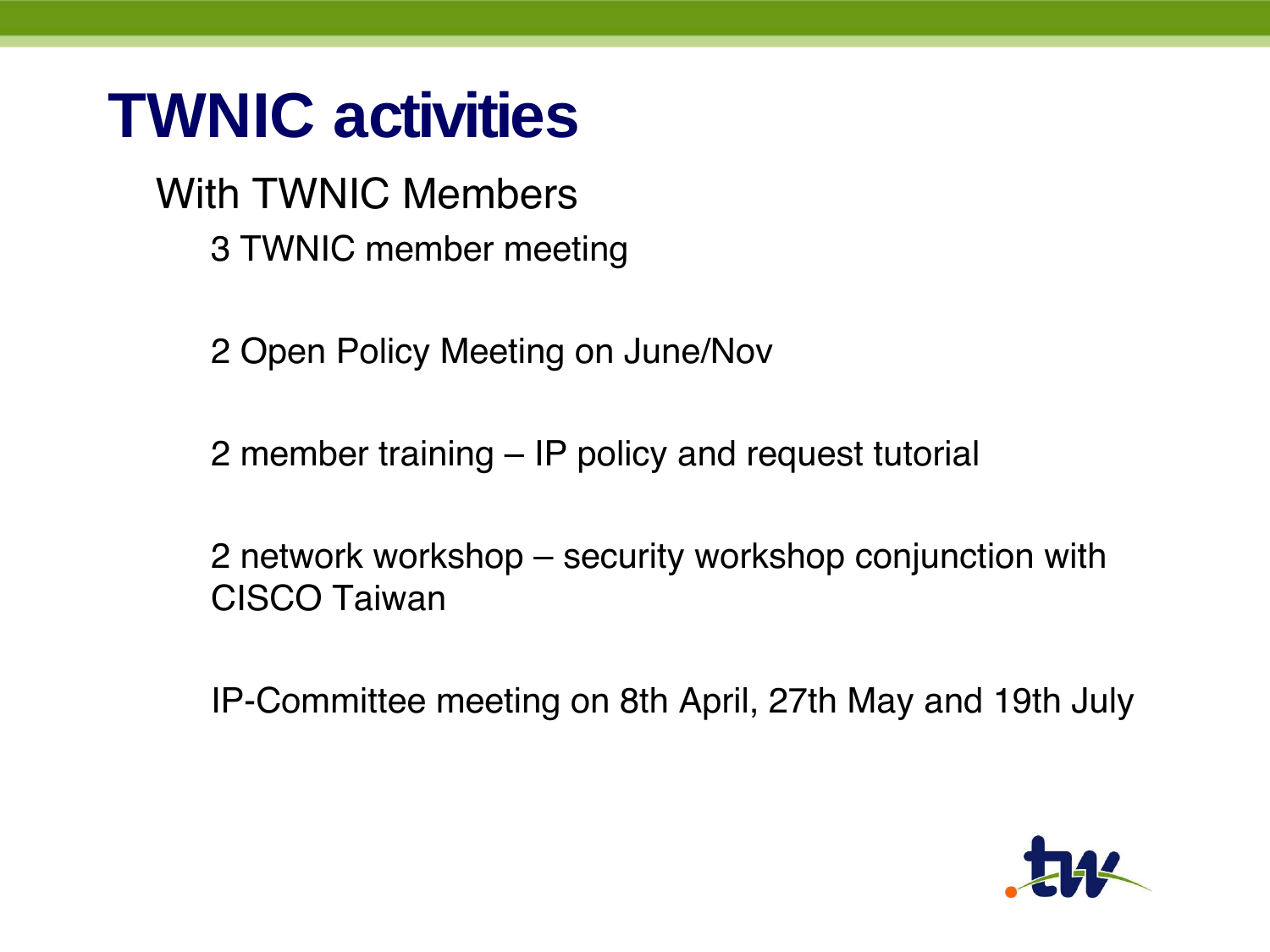### **TWNIC activities**

With TWNIC Members 3 TWNIC member meeting

2 Open Policy Meeting on June/Nov

2 member training – IP policy and request tutorial

2 network workshop – security workshop conjunction with CISCO Taiwan

IP-Committee meeting on 8th April, 27th May and 19th July

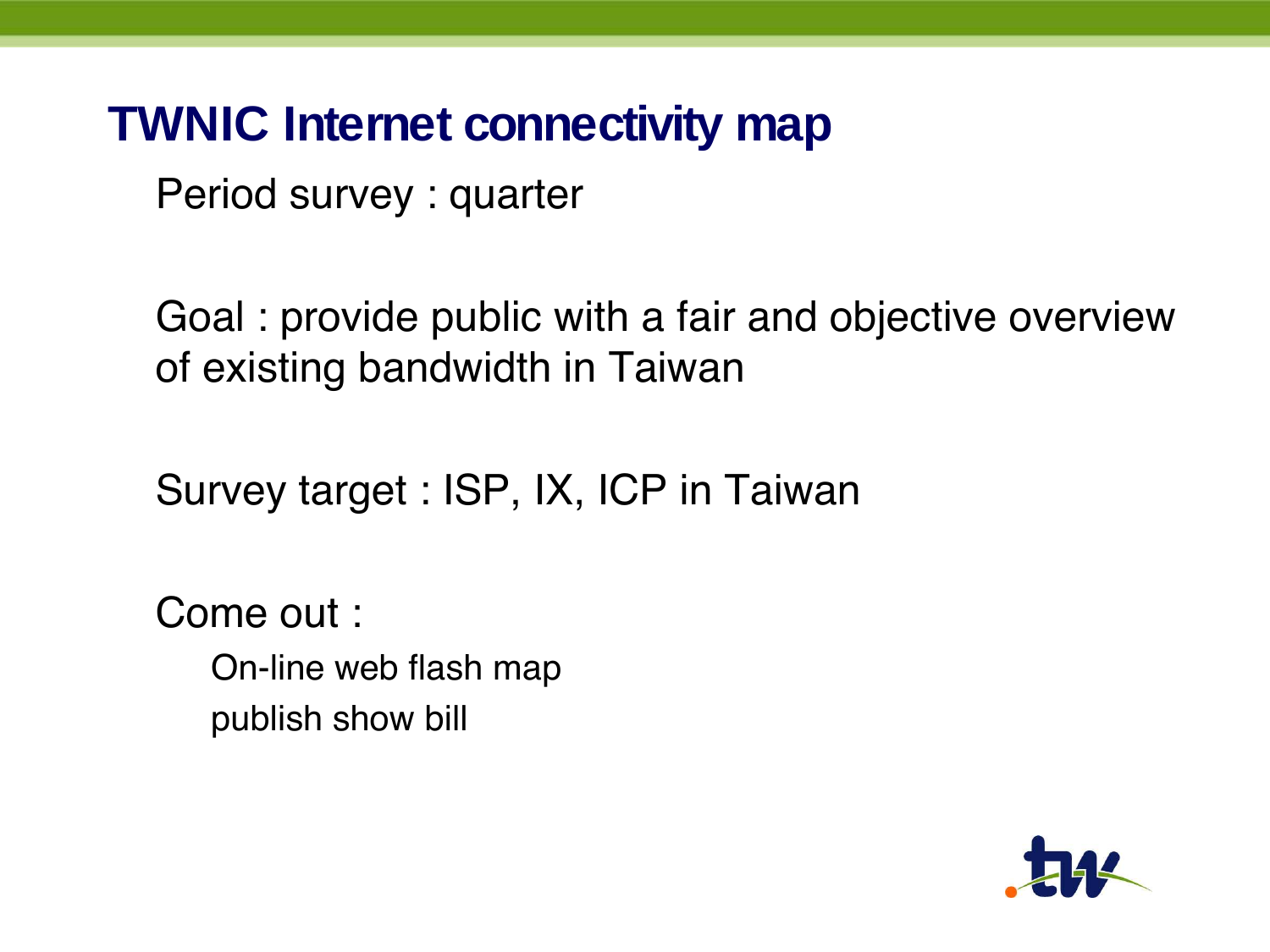#### **TWNIC Internet connectivity map**

Period survey : quarter

Goal : provide public with a fair and objective overview of existing bandwidth in Taiwan

Survey target : ISP, IX, ICP in Taiwan

Come out : On-line web flash map publish show bill

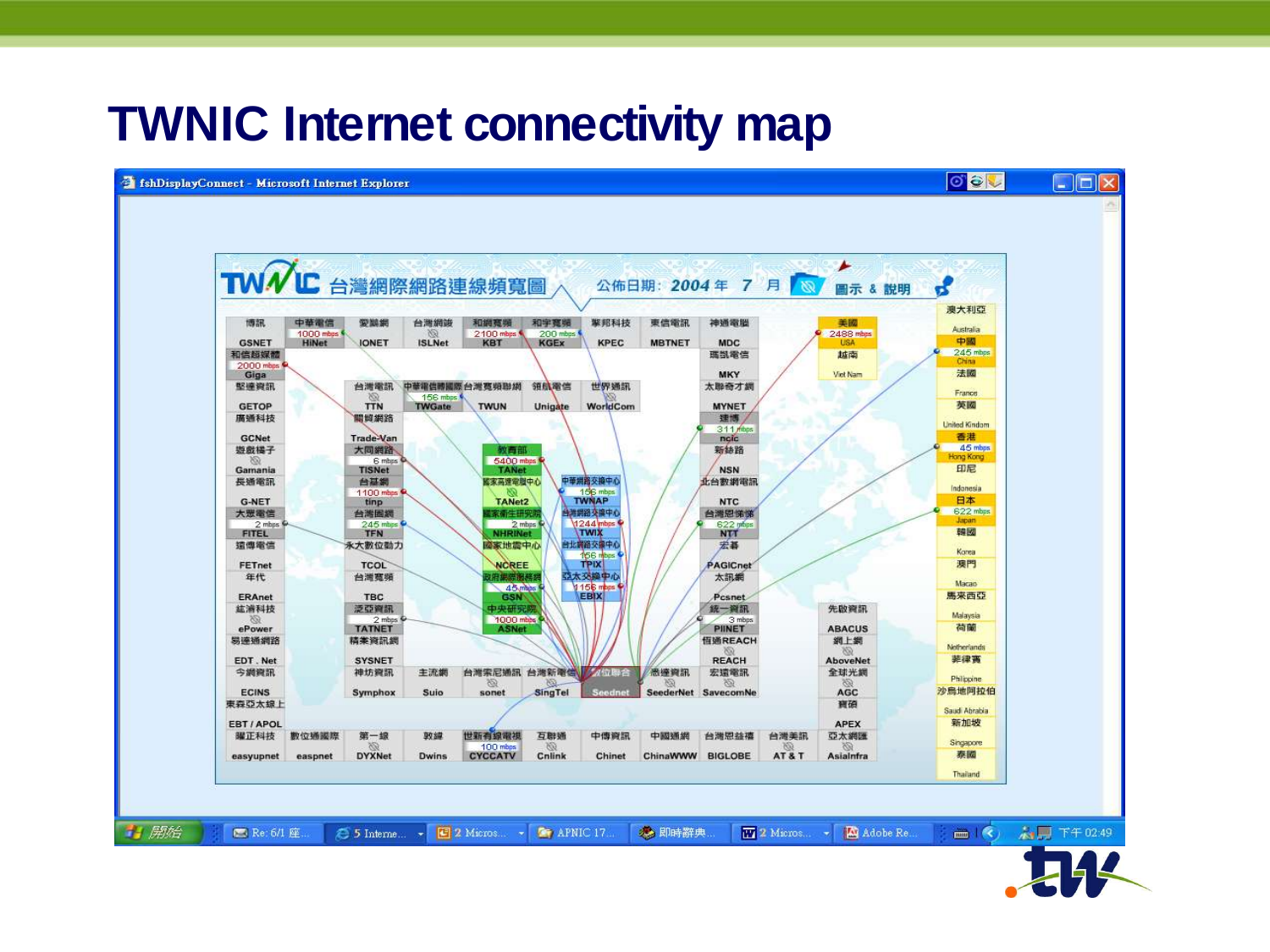#### **TWNIC Internet connectivity map**



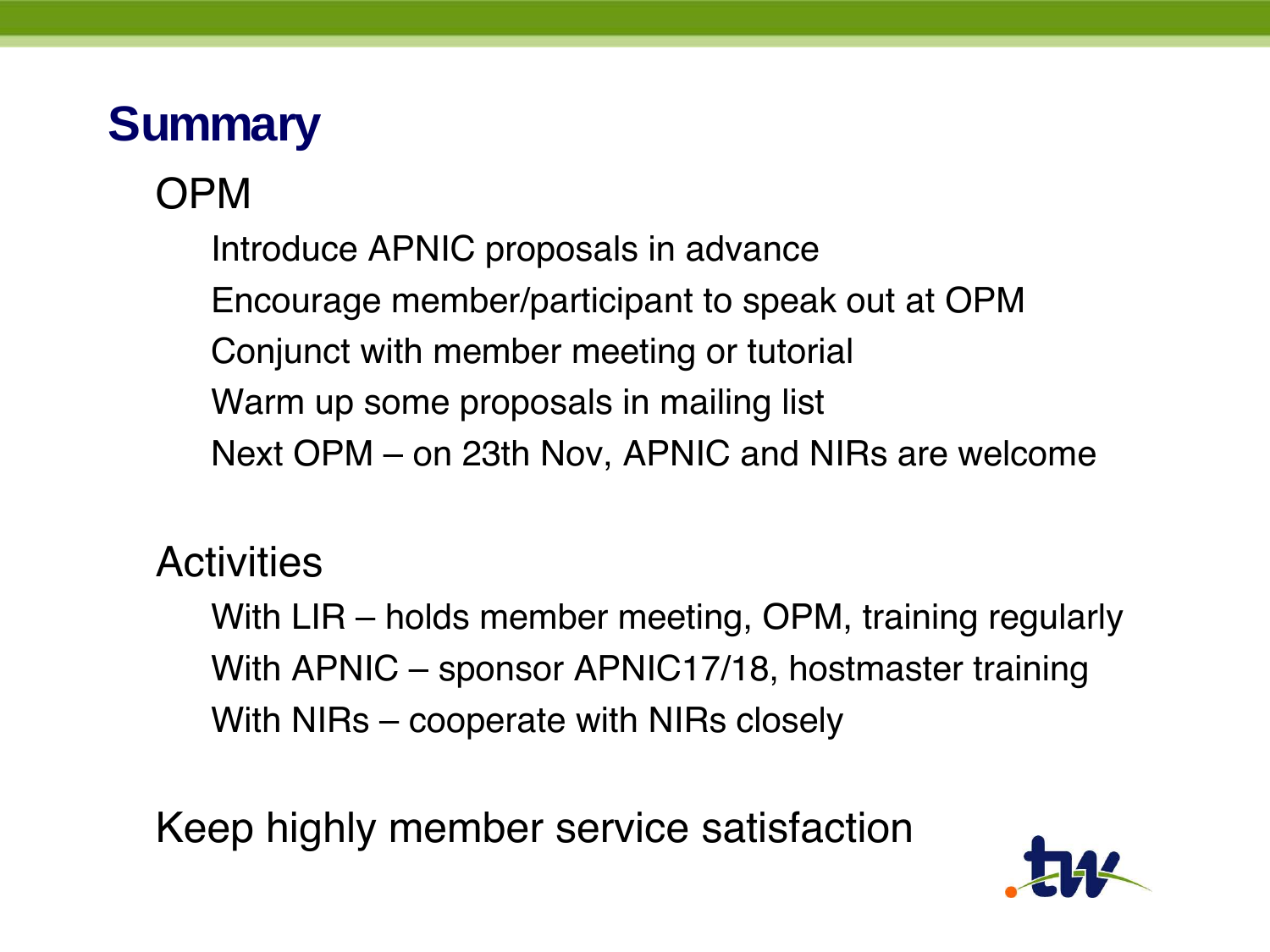#### **Summary**

#### OPM

Introduce APNIC proposals in advance Encourage member/participant to speak out at OPM Conjunct with member meeting or tutorial Warm up some proposals in mailing list Next OPM – on 23th Nov, APNIC and NIRs are welcome

#### **Activities**

With LIR – holds member meeting, OPM, training regularly With APNIC – sponsor APNIC17/18, hostmaster training With NIRs – cooperate with NIRs closely

Keep highly member service satisfaction